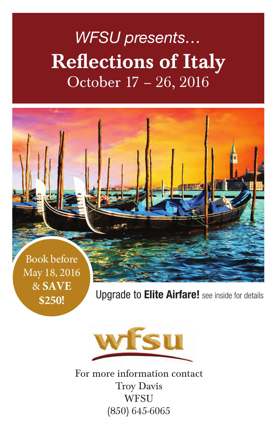# *WFSU presents…* Reflections of Italy October 17 – 26, 2016



Upgrade to **Elite Airfare!** see inside for details



**\$250!** 

For more information contact Troy Davis **WFSU** (850) 645-6065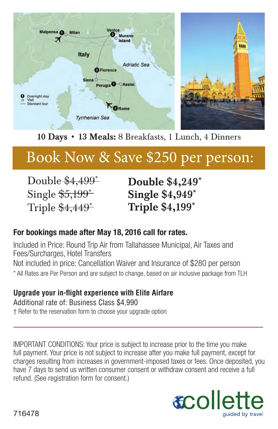

### 10 Days • 13 Meals: 8 Breakfasts, 1 Lunch, 4 Dinners

### Book Now & Save \$250 per person:

Double \$4,499<sup>\*</sup> Single  $$5,199^*$ Triple \$4,449\*

Double \$4,249\* Single \$4,949\* Triple \$4,199\*

### **For bookings made after May 18, 2016 call for rates.**

Included in Price: Round Trip Air from Tallahassee Municipal, Air Taxes and Fees/Surcharges, Hotel Transfers Not included in price: Cancellation Waiver and Insurance of \$280 per person \* All Rates are Per Person and are subject to change, based on air inclusive package from TLH

#### **Upgrade your in-flight experience with Elite Airfare**

Additional rate of: Business Class \$4,990 † Refer to the reservation form to choose your upgrade option

IMPORTANT CONDITIONS: Your price is subject to increase prior to the time you make full payment. Your price is not subject to increase after you make full payment, except for charges resulting from increases in government-imposed taxes or fees. Once deposited, you have 7 days to send us written consumer consent or withdraw consent and receive a full refund. (See registration form for consent.)

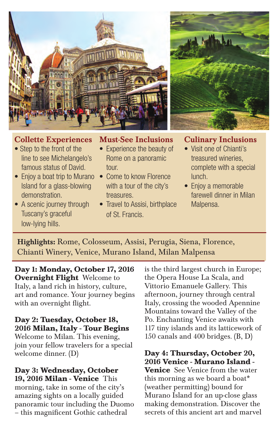



#### Collette Experiences

- Step to the front of the line to see Michelangelo's famous status of David.
- Enjoy a boat trip to Murano Island for a glass-blowing demonstration.
- A scenic journey through Tuscany's graceful low-lying hills.

#### Must-See Inclusions

- Experience the beauty of Rome on a panoramic tour.
- Come to know Florence with a tour of the city's treasures.
- Travel to Assisi, birthplace of St. Francis.

#### Culinary Inclusions

- Visit one of Chianti's treasured wineries, complete with a special lunch.
- Enjoy a memorable farewell dinner in Milan Malpensa.

Highlights: Rome, Colosseum, Assisi, Perugia, Siena, Florence, Chianti Winery, Venice, Murano Island, Milan Malpensa

**Day 1: Monday, October 17, 2016 Overnight Flight** Welcome to Italy, a land rich in history, culture, art and romance. Your journey begins with an overnight flight.

### **Day 2: Tuesday, October 18, 2016 Milan, Italy - Tour Begins**

Welcome to Milan. This evening, join your fellow travelers for a special welcome dinner. (D)

**Day 3: Wednesday, October 19, 2016 Milan - Venice** This morning, take in some of the city's amazing sights on a locally guided panoramic tour including the Duomo – this magnificent Gothic cathedral

is the third largest church in Europe; the Opera House La Scala, and Vittorio Emanuele Gallery. This afternoon, journey through central Italy, crossing the wooded Apennine Mountains toward the Valley of the Po. Enchanting Venice awaits with 117 tiny islands and its latticework of 150 canals and 400 bridges. (B, D)

#### **Day 4: Thursday, October 20, 2016 Venice - Murano Island -**

**Venice** See Venice from the water this morning as we board a boat\* (weather permitting) bound for Murano Island for an up-close glass making demonstration. Discover the secrets of this ancient art and marvel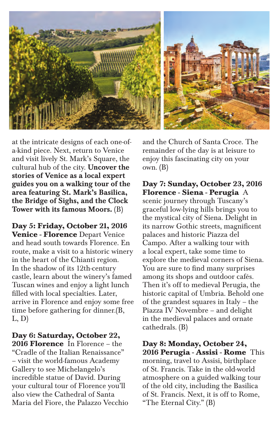

at the intricate designs of each one-ofa-kind piece. Next, return to Venice and visit lively St. Mark's Square, the cultural hub of the city. **Uncover the** stories of Venice as a local expert guides you on a walking tour of the area featuring St. Mark's Basilica, the Bridge of Sighs, and the Clock Tower with its famous Moors. (B)

**Day 5: Friday, October 21, 2016 Venice - Florence** Depart Venice and head south towards Florence. En route, make a visit to a historic winery in the heart of the Chianti region. In the shadow of its 12th-century castle, learn about the winery's famed Tuscan wines and enjoy a light lunch filled with local specialties. Later, arrive in Florence and enjoy some free time before gathering for dinner.(B, L, D)

**Day 6: Saturday, October 22, 2016 Florence** In Florence – the "Cradle of the Italian Renaissance" – visit the world-famous Academy Gallery to see Michelangelo's incredible statue of David. During your cultural tour of Florence you'll also view the Cathedral of Santa Maria del Fiore, the Palazzo Vecchio and the Church of Santa Croce. The remainder of the day is at leisure to enjoy this fascinating city on your own. (B)

**Day 7: Sunday, October 23, 2016 Florence - Siena - Perugia** A scenic journey through Tuscany's graceful low-lying hills brings you to the mystical city of Siena. Delight in its narrow Gothic streets, magnificent palaces and historic Piazza del Campo. After a walking tour with a local expert, take some time to explore the medieval corners of Siena. You are sure to find many surprises among its shops and outdoor cafés. Then it's off to medieval Perugia, the historic capital of Umbria. Behold one of the grandest squares in Italy – the Piazza IV Novembre – and delight in the medieval palaces and ornate cathedrals. (B)

**Day 8: Monday, October 24, 2016 Perugia - Assisi - Rome** This morning, travel to Assisi, birthplace of St. Francis. Take in the old-world atmosphere on a guided walking tour of the old city, including the Basilica of St. Francis. Next, it is off to Rome, "The Eternal City." (B)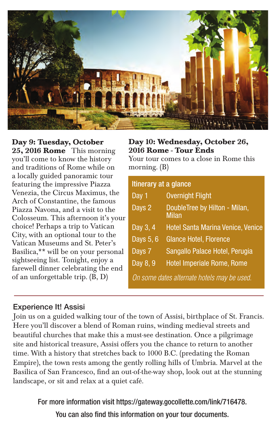

#### **Day 9: Tuesday, October**

**25, 2016 Rome** This morning you'll come to know the history and traditions of Rome while on a locally guided panoramic tour featuring the impressive Piazza Venezia, the Circus Maximus, the Arch of Constantine, the famous Piazza Navona, and a visit to the Colosseum. This afternoon it's your choice! Perhaps a trip to Vatican City, with an optional tour to the Vatican Museums and St. Peter's Basilica,\*\* will be on your personal sightseeing list. Tonight, enjoy a farewell dinner celebrating the end of an unforgettable trip. (B, D)

#### **Day 10: Wednesday, October 26, 2016 Rome - Tour Ends**

Your tour comes to a close in Rome this morning. (B)

| Itinerary at a glance                       |                                        |
|---------------------------------------------|----------------------------------------|
| Day 1                                       | <b>Overnight Flight</b>                |
| Days 2                                      | DoubleTree by Hilton - Milan,<br>Milan |
| Day 3, 4                                    | Hotel Santa Marina Venice, Venice      |
| Days $5, 6$                                 | <b>Glance Hotel, Florence</b>          |
| Days 7                                      | Sangallo Palace Hotel, Perugia         |
| Day 8, 9                                    | Hotel Imperiale Rome, Rome             |
| On some dates alternate hotels may be used. |                                        |

#### Experience It! Assisi

Join us on a guided walking tour of the town of Assisi, birthplace of St. Francis. Here you'll discover a blend of Roman ruins, winding medieval streets and beautiful churches that make this a must-see destination. Once a pilgrimage site and historical treasure, Assisi offers you the chance to return to another time. With a history that stretches back to 1000 B.C. (predating the Roman Empire), the town rests among the gently rolling hills of Umbria. Marvel at the Basilica of San Francesco, find an out-of-the-way shop, look out at the stunning landscape, or sit and relax at a quiet café.

For more information visit https://gateway.gocollette.com/link/716478.

You can also find this information on your tour documents.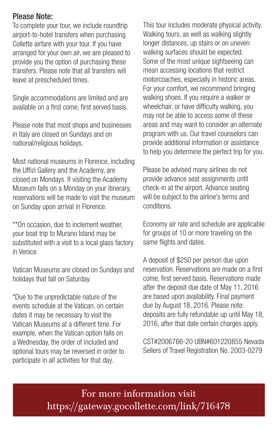#### Please Note:

To complete your tour, we include roundtrip airport-to-hotel transfers when purchasing Collette airfare with your tour. If you have arranged for your own air, we are pleased to provide you the option of purchasing these transfers. Please note that all transfers will leave at prescheduled times.

Single accommodations are limited and are available on a first come, first served basis.

Please note that most shops and businesses in Italy are closed on Sundays and on national/religious holidays.

Most national museums in Florence, including the Uffizi Gallery and the Academy, are closed on Mondays. If visiting the Academy Museum falls on a Monday on your itinerary, reservations will be made to visit the museum on Sunday upon arrival in Florence.

\*\*On occasion, due to inclement weather, your boat trip to Murano Island may be substituted with a visit to a local glass factory in Venice.

Vatican Museums are closed on Sundays and holidays that fall on Saturday.

\*Due to the unpredictable nature of the events schedule at the Vatican, on certain dates it may be necessary to visit the Vatican Museums at a different time. For example, when the Vatican option falls on a Wednesday, the order of included and optional tours may be reversed in order to participate in all activities for that day.

This tour includes moderate physical activity. Walking tours, as well as walking slightly longer distances, up stairs or on uneven walking surfaces should be expected. Some of the most unique sightseeing can mean accessing locations that restrict motorcoaches, especially in historic areas. For your comfort, we recommend bringing walking shoes. If you require a walker or wheelchair, or have difficulty walking, you may not be able to access some of these areas and may want to consider an alternate program with us. Our travel counselors can provide additional information or assistance to help you determine the perfect trip for you.

Please be advised many airlines do not provide advance seat assignments until check-in at the airport. Advance seating will be subject to the airline's terms and conditions.

Economy air rate and schedule are applicable for groups of 10 or more traveling on the same flights and dates.

A deposit of \$250 per person due upon reservation. Reservations are made on a first come, first served basis. Reservations made after the deposit due date of May 11, 2016 are based upon availability. Final payment due by August 18, 2016. Please note: deposits are fully refundable up until May 18, 2016, after that date certain charges apply.

CST#2006766-20 UBN#601220855 Nevada Sellers of Travel Registration No. 2003-0279

For more information visit https://gateway.gocollette.com/link/716478